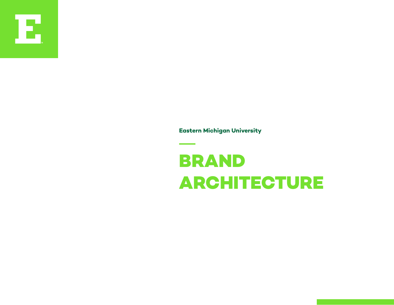

**Eastern Michigan University**

## **BRAND ARCHITECTURE**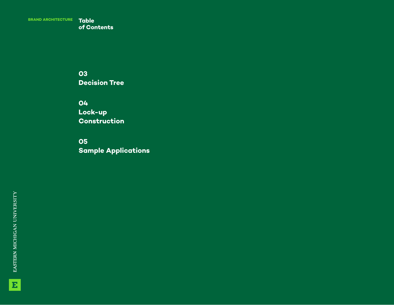**BRAND ARCHITECTURE Table** 

**o f Contents**

**03 Decision Tree**

**04 Lock-up Construction**

**05 Sample Applications**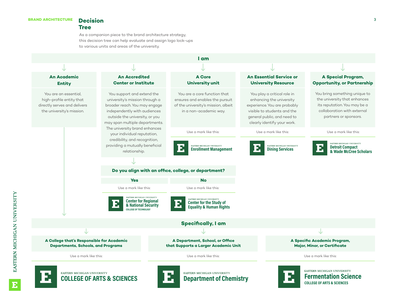

**BRAND ARCHITECTURE Decision**

**Tree**

**COLLEGE OF ARTS & SCIENCES**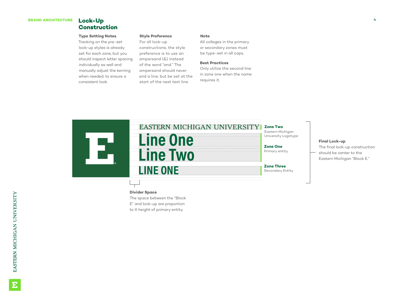#### **Construction**

#### **Type Setting Notes**

Tracking on the pre-set lock-up styles is already set for each zone, but you should inspect letter spacing individually as well and manually adjust the kerning when needed, to ensure a consistent look.

#### **Style Preference**

For all lock-up constructions, the style preference is to use an ampersand (&) instead of the word "and." The ampersand should never end a line, but be set at the start of the next text line.

#### **Note**

All colleges in the primary or secondary zones must be type-set in all caps.

#### **Best Practices**

Only utilize the second line in zone one when the name requires it.



#### **Divider Space**

The space between the "Block E" and lock-up are proportion

to X height of primary entity.

#### **Final Lock-up**

The final lock-up construction should be center to the Eastern Michigan "Block E."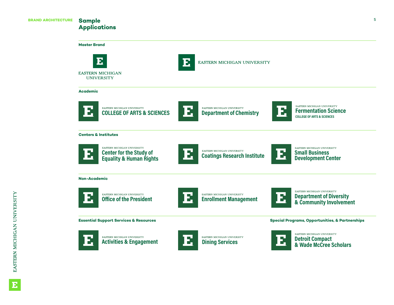#### **Sample Applications**

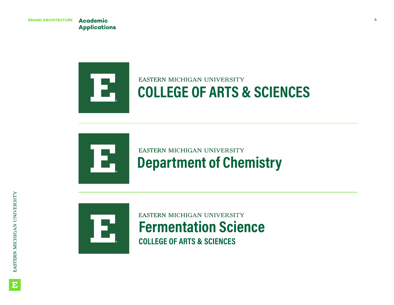**Applications**



# Е

## **EASTERN MICHIGAN UNIVERSITY Department of Chemistry**



#### **EASTERN MICHIGAN UNIVERSITY Fermentation Science COLLEGE OF ARTS & SCIENCES**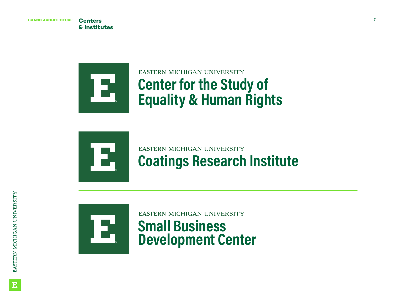**& Institutes**



## EASTERN MICHIGAN UNIVERSITY **Center for the Study of Equality & Human Rights**



## EASTERN MICHIGAN UNIVERSITY **Coatings Research Institute**



**EASTERN MICHIGAN UNIVERSITY Small Business Development Center**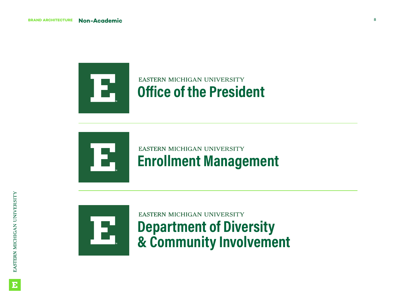

## **EASTERN MICHIGAN UNIVERSITY Office of the President**



### **EASTERN MICHIGAN UNIVERSITY Enrollment Management**



## EASTERN MICHIGAN UNIVERSITY **Department of Diversity & Community Involvement**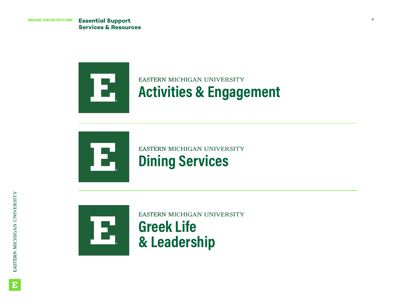

## EASTERN MICHIGAN UNIVERSITY **Activities & Engagement**





EASTERN MICHIGAN UNIVERSITY **Greek Life & Leadership**

E